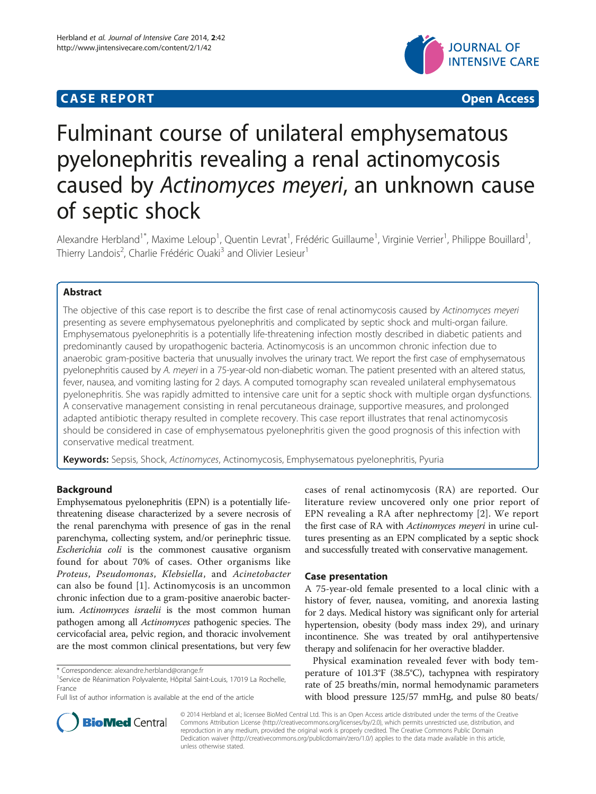## **CASE REPORT CASE REPORT CASE ACCESS**



# Fulminant course of unilateral emphysematous pyelonephritis revealing a renal actinomycosis caused by Actinomyces meyeri, an unknown cause of septic shock

Alexandre Herbland<sup>1\*</sup>, Maxime Leloup<sup>1</sup>, Quentin Levrat<sup>1</sup>, Frédéric Guillaume<sup>1</sup>, Virginie Verrier<sup>1</sup>, Philippe Bouillard<sup>1</sup> , Thierry Landois<sup>2</sup>, Charlie Frédéric Ouaki<sup>3</sup> and Olivier Lesieur<sup>1</sup>

## Abstract

The objective of this case report is to describe the first case of renal actinomycosis caused by Actinomyces meyeri presenting as severe emphysematous pyelonephritis and complicated by septic shock and multi-organ failure. Emphysematous pyelonephritis is a potentially life-threatening infection mostly described in diabetic patients and predominantly caused by uropathogenic bacteria. Actinomycosis is an uncommon chronic infection due to anaerobic gram-positive bacteria that unusually involves the urinary tract. We report the first case of emphysematous pyelonephritis caused by A. meyeri in a 75-year-old non-diabetic woman. The patient presented with an altered status, fever, nausea, and vomiting lasting for 2 days. A computed tomography scan revealed unilateral emphysematous pyelonephritis. She was rapidly admitted to intensive care unit for a septic shock with multiple organ dysfunctions. A conservative management consisting in renal percutaneous drainage, supportive measures, and prolonged adapted antibiotic therapy resulted in complete recovery. This case report illustrates that renal actinomycosis should be considered in case of emphysematous pyelonephritis given the good prognosis of this infection with conservative medical treatment.

Keywords: Sepsis, Shock, Actinomyces, Actinomycosis, Emphysematous pyelonephritis, Pyuria

## Background

Emphysematous pyelonephritis (EPN) is a potentially lifethreatening disease characterized by a severe necrosis of the renal parenchyma with presence of gas in the renal parenchyma, collecting system, and/or perinephric tissue. Escherichia coli is the commonest causative organism found for about 70% of cases. Other organisms like Proteus, Pseudomonas, Klebsiella, and Acinetobacter can also be found [\[1](#page-3-0)]. Actinomycosis is an uncommon chronic infection due to a gram-positive anaerobic bacterium. Actinomyces israelii is the most common human pathogen among all Actinomyces pathogenic species. The cervicofacial area, pelvic region, and thoracic involvement are the most common clinical presentations, but very few

cases of renal actinomycosis (RA) are reported. Our literature review uncovered only one prior report of EPN revealing a RA after nephrectomy [[2](#page-3-0)]. We report the first case of RA with Actinomyces meyeri in urine cultures presenting as an EPN complicated by a septic shock and successfully treated with conservative management.

## Case presentation

A 75-year-old female presented to a local clinic with a history of fever, nausea, vomiting, and anorexia lasting for 2 days. Medical history was significant only for arterial hypertension, obesity (body mass index 29), and urinary incontinence. She was treated by oral antihypertensive therapy and solifenacin for her overactive bladder.

Physical examination revealed fever with body temperature of 101.3°F (38.5°C), tachypnea with respiratory rate of 25 breaths/min, normal hemodynamic parameters with blood pressure 125/57 mmHg, and pulse 80 beats/



© 2014 Herbland et al.; licensee BioMed Central Ltd. This is an Open Access article distributed under the terms of the Creative Commons Attribution License [\(http://creativecommons.org/licenses/by/2.0\)](http://creativecommons.org/licenses/by/2.0), which permits unrestricted use, distribution, and reproduction in any medium, provided the original work is properly credited. The Creative Commons Public Domain Dedication waiver [\(http://creativecommons.org/publicdomain/zero/1.0/](http://creativecommons.org/publicdomain/zero/1.0/)) applies to the data made available in this article, unless otherwise stated.

<sup>\*</sup> Correspondence: [alexandre.herbland@orange.fr](mailto:alexandre.herbland@orange.fr) <sup>1</sup>

<sup>&</sup>lt;sup>1</sup>Service de Réanimation Polyvalente, Hôpital Saint-Louis, 17019 La Rochelle, France

Full list of author information is available at the end of the article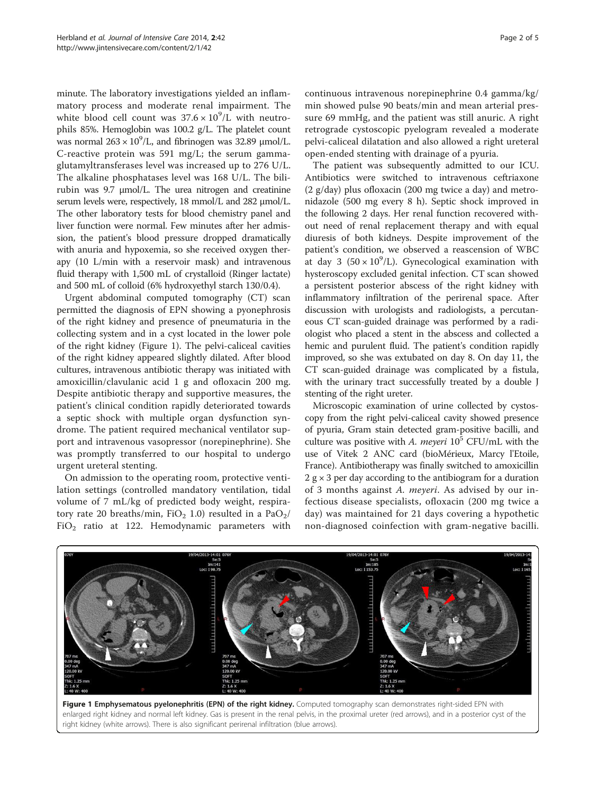minute. The laboratory investigations yielded an inflammatory process and moderate renal impairment. The white blood cell count was  $37.6 \times 10^9$ /L with neutrophils 85%. Hemoglobin was 100.2 g/L. The platelet count was normal  $263 \times 10^9$ /L, and fibrinogen was 32.89  $\mu$ mol/L. C-reactive protein was 591 mg/L; the serum gammaglutamyltransferases level was increased up to 276 U/L. The alkaline phosphatases level was 168 U/L. The bilirubin was 9.7 μmol/L. The urea nitrogen and creatinine serum levels were, respectively, 18 mmol/L and 282 μmol/L. The other laboratory tests for blood chemistry panel and liver function were normal. Few minutes after her admission, the patient's blood pressure dropped dramatically with anuria and hypoxemia, so she received oxygen therapy (10 L/min with a reservoir mask) and intravenous fluid therapy with 1,500 mL of crystalloid (Ringer lactate) and 500 mL of colloid (6% hydroxyethyl starch 130/0.4).

Urgent abdominal computed tomography (CT) scan permitted the diagnosis of EPN showing a pyonephrosis of the right kidney and presence of pneumaturia in the collecting system and in a cyst located in the lower pole of the right kidney (Figure 1). The pelvi-caliceal cavities of the right kidney appeared slightly dilated. After blood cultures, intravenous antibiotic therapy was initiated with amoxicillin/clavulanic acid 1 g and ofloxacin 200 mg. Despite antibiotic therapy and supportive measures, the patient's clinical condition rapidly deteriorated towards a septic shock with multiple organ dysfunction syndrome. The patient required mechanical ventilator support and intravenous vasopressor (norepinephrine). She was promptly transferred to our hospital to undergo urgent ureteral stenting.

On admission to the operating room, protective ventilation settings (controlled mandatory ventilation, tidal volume of 7 mL/kg of predicted body weight, respiratory rate 20 breaths/min,  $FiO<sub>2</sub>$  1.0) resulted in a Pa $O<sub>2</sub>$ /  $FiO<sub>2</sub>$  ratio at 122. Hemodynamic parameters with continuous intravenous norepinephrine 0.4 gamma/kg/ min showed pulse 90 beats/min and mean arterial pressure 69 mmHg, and the patient was still anuric. A right retrograde cystoscopic pyelogram revealed a moderate pelvi-caliceal dilatation and also allowed a right ureteral open-ended stenting with drainage of a pyuria.

The patient was subsequently admitted to our ICU. Antibiotics were switched to intravenous ceftriaxone (2 g/day) plus ofloxacin (200 mg twice a day) and metronidazole (500 mg every 8 h). Septic shock improved in the following 2 days. Her renal function recovered without need of renal replacement therapy and with equal diuresis of both kidneys. Despite improvement of the patient's condition, we observed a reascension of WBC at day 3  $(50 \times 10^9)$ . Gynecological examination with hysteroscopy excluded genital infection. CT scan showed a persistent posterior abscess of the right kidney with inflammatory infiltration of the perirenal space. After discussion with urologists and radiologists, a percutaneous CT scan-guided drainage was performed by a radiologist who placed a stent in the abscess and collected a hemic and purulent fluid. The patient's condition rapidly improved, so she was extubated on day 8. On day 11, the CT scan-guided drainage was complicated by a fistula, with the urinary tract successfully treated by a double J stenting of the right ureter.

Microscopic examination of urine collected by cystoscopy from the right pelvi-caliceal cavity showed presence of pyuria, Gram stain detected gram-positive bacilli, and culture was positive with A. meyeri  $10^5$  CFU/mL with the use of Vitek 2 ANC card (bioMérieux, Marcy l'Etoile, France). Antibiotherapy was finally switched to amoxicillin  $2 g \times 3$  per day according to the antibiogram for a duration of 3 months against A. meyeri. As advised by our infectious disease specialists, ofloxacin (200 mg twice a day) was maintained for 21 days covering a hypothetic non-diagnosed coinfection with gram-negative bacilli.



Figure 1 Emphysematous pyelonephritis (EPN) of the right kidney. Computed tomography scan demonstrates right-sided EPN with enlarged right kidney and normal left kidney. Gas is present in the renal pelvis, in the proximal ureter (red arrows), and in a posterior cyst of the right kidney (white arrows). There is also significant perirenal infiltration (blue arrows).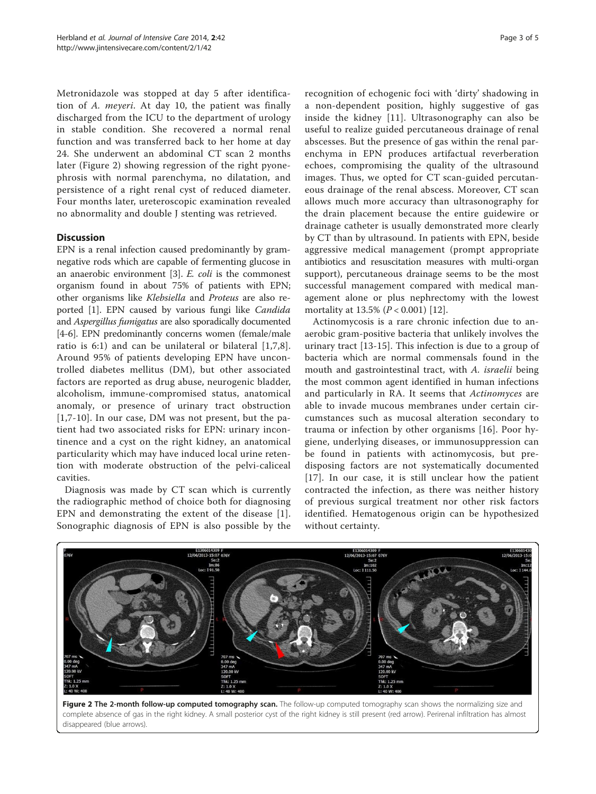Metronidazole was stopped at day 5 after identification of A. meyeri. At day 10, the patient was finally discharged from the ICU to the department of urology in stable condition. She recovered a normal renal function and was transferred back to her home at day 24. She underwent an abdominal CT scan 2 months later (Figure 2) showing regression of the right pyonephrosis with normal parenchyma, no dilatation, and persistence of a right renal cyst of reduced diameter. Four months later, ureteroscopic examination revealed no abnormality and double J stenting was retrieved.

## **Discussion**

EPN is a renal infection caused predominantly by gramnegative rods which are capable of fermenting glucose in an anaerobic environment [[3\]](#page-3-0). E. coli is the commonest organism found in about 75% of patients with EPN; other organisms like Klebsiella and Proteus are also reported [\[1](#page-3-0)]. EPN caused by various fungi like Candida and Aspergillus fumigatus are also sporadically documented [[4-6\]](#page-3-0). EPN predominantly concerns women (female/male ratio is 6:1) and can be unilateral or bilateral [[1](#page-3-0),[7,8](#page-3-0)]. Around 95% of patients developing EPN have uncontrolled diabetes mellitus (DM), but other associated factors are reported as drug abuse, neurogenic bladder, alcoholism, immune-compromised status, anatomical anomaly, or presence of urinary tract obstruction [[1,7-10](#page-3-0)]. In our case, DM was not present, but the patient had two associated risks for EPN: urinary incontinence and a cyst on the right kidney, an anatomical particularity which may have induced local urine retention with moderate obstruction of the pelvi-caliceal cavities.

Diagnosis was made by CT scan which is currently the radiographic method of choice both for diagnosing EPN and demonstrating the extent of the disease [[1](#page-3-0)]. Sonographic diagnosis of EPN is also possible by the

recognition of echogenic foci with 'dirty' shadowing in a non-dependent position, highly suggestive of gas inside the kidney [[11](#page-4-0)]. Ultrasonography can also be useful to realize guided percutaneous drainage of renal abscesses. But the presence of gas within the renal parenchyma in EPN produces artifactual reverberation echoes, compromising the quality of the ultrasound images. Thus, we opted for CT scan-guided percutaneous drainage of the renal abscess. Moreover, CT scan allows much more accuracy than ultrasonography for the drain placement because the entire guidewire or drainage catheter is usually demonstrated more clearly by CT than by ultrasound. In patients with EPN, beside aggressive medical management (prompt appropriate antibiotics and resuscitation measures with multi-organ support), percutaneous drainage seems to be the most successful management compared with medical management alone or plus nephrectomy with the lowest mortality at  $13.5\%$  ( $P < 0.001$ ) [\[12](#page-4-0)].

Actinomycosis is a rare chronic infection due to anaerobic gram-positive bacteria that unlikely involves the urinary tract [\[13](#page-4-0)-[15\]](#page-4-0). This infection is due to a group of bacteria which are normal commensals found in the mouth and gastrointestinal tract, with A. israelii being the most common agent identified in human infections and particularly in RA. It seems that Actinomyces are able to invade mucous membranes under certain circumstances such as mucosal alteration secondary to trauma or infection by other organisms [[16](#page-4-0)]. Poor hygiene, underlying diseases, or immunosuppression can be found in patients with actinomycosis, but predisposing factors are not systematically documented [[17](#page-4-0)]. In our case, it is still unclear how the patient contracted the infection, as there was neither history of previous surgical treatment nor other risk factors identified. Hematogenous origin can be hypothesized without certainty.



Figure 2 The 2-month follow-up computed tomography scan. The follow-up computed tomography scan shows the normalizing size and complete absence of gas in the right kidney. A small posterior cyst of the right kidney is still present (red arrow). Perirenal infiltration has almost disappeared (blue arrows).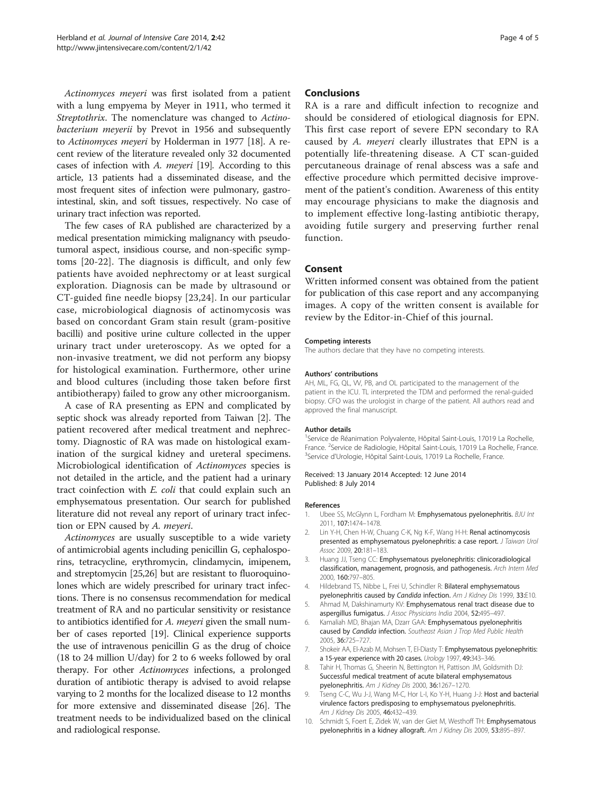<span id="page-3-0"></span>Actinomyces meyeri was first isolated from a patient with a lung empyema by Meyer in 1911, who termed it Streptothrix. The nomenclature was changed to Actinobacterium meyerii by Prevot in 1956 and subsequently to Actinomyces meyeri by Holderman in 1977 [\[18\]](#page-4-0). A recent review of the literature revealed only 32 documented cases of infection with A. meyeri [[19](#page-4-0)]. According to this article, 13 patients had a disseminated disease, and the most frequent sites of infection were pulmonary, gastrointestinal, skin, and soft tissues, respectively. No case of urinary tract infection was reported.

The few cases of RA published are characterized by a medical presentation mimicking malignancy with pseudotumoral aspect, insidious course, and non-specific symptoms [\[20](#page-4-0)-[22](#page-4-0)]. The diagnosis is difficult, and only few patients have avoided nephrectomy or at least surgical exploration. Diagnosis can be made by ultrasound or CT-guided fine needle biopsy [\[23,24](#page-4-0)]. In our particular case, microbiological diagnosis of actinomycosis was based on concordant Gram stain result (gram-positive bacilli) and positive urine culture collected in the upper urinary tract under ureteroscopy. As we opted for a non-invasive treatment, we did not perform any biopsy for histological examination. Furthermore, other urine and blood cultures (including those taken before first antibiotherapy) failed to grow any other microorganism.

A case of RA presenting as EPN and complicated by septic shock was already reported from Taiwan [2]. The patient recovered after medical treatment and nephrectomy. Diagnostic of RA was made on histological examination of the surgical kidney and ureteral specimens. Microbiological identification of Actinomyces species is not detailed in the article, and the patient had a urinary tract coinfection with E. coli that could explain such an emphysematous presentation. Our search for published literature did not reveal any report of urinary tract infection or EPN caused by A. meyeri.

Actinomyces are usually susceptible to a wide variety of antimicrobial agents including penicillin G, cephalosporins, tetracycline, erythromycin, clindamycin, imipenem, and streptomycin [\[25,26](#page-4-0)] but are resistant to fluoroquinolones which are widely prescribed for urinary tract infections. There is no consensus recommendation for medical treatment of RA and no particular sensitivity or resistance to antibiotics identified for A. meyeri given the small number of cases reported [[19\]](#page-4-0). Clinical experience supports the use of intravenous penicillin G as the drug of choice (18 to 24 million U/day) for 2 to 6 weeks followed by oral therapy. For other Actinomyces infections, a prolonged duration of antibiotic therapy is advised to avoid relapse varying to 2 months for the localized disease to 12 months for more extensive and disseminated disease [[26](#page-4-0)]. The treatment needs to be individualized based on the clinical and radiological response.

### **Conclusions**

RA is a rare and difficult infection to recognize and should be considered of etiological diagnosis for EPN. This first case report of severe EPN secondary to RA caused by A. meyeri clearly illustrates that EPN is a potentially life-threatening disease. A CT scan-guided percutaneous drainage of renal abscess was a safe and effective procedure which permitted decisive improvement of the patient's condition. Awareness of this entity may encourage physicians to make the diagnosis and to implement effective long-lasting antibiotic therapy, avoiding futile surgery and preserving further renal function.

## Consent

Written informed consent was obtained from the patient for publication of this case report and any accompanying images. A copy of the written consent is available for review by the Editor-in-Chief of this journal.

#### Competing interests

The authors declare that they have no competing interests.

#### Authors' contributions

AH, ML, FG, QL, VV, PB, and OL participated to the management of the patient in the ICU. TL interpreted the TDM and performed the renal-guided biopsy. CFO was the urologist in charge of the patient. All authors read and approved the final manuscript.

#### Author details

<sup>1</sup>Service de Réanimation Polyvalente, Hôpital Saint-Louis, 17019 La Rochelle France. <sup>2</sup>Service de Radiologie, Hôpital Saint-Louis, 17019 La Rochelle, France<br><sup>3</sup>Service d'Urologie, Hôpital Saint-Louis, 17019 La Pochelle, France <sup>3</sup>Service d'Urologie, Hôpital Saint-Louis, 17019 La Rochelle, France.

#### Received: 13 January 2014 Accepted: 12 June 2014 Published: 8 July 2014

#### References

- 1. Ubee SS, McGlynn L, Fordham M: Emphysematous pyelonephritis. BJU Int 2011, 107:1474–1478.
- Lin Y-H, Chen H-W, Chuang C-K, Ng K-F, Wang H-H: Renal actinomycosis presented as emphysematous pyelonephritis: a case report. J Taiwan Urol Assoc 2009, 20:181–183.
- 3. Huang JJ, Tseng CC: Emphysematous pyelonephritis: clinicoradiological classification, management, prognosis, and pathogenesis. Arch Intern Med 2000, 160:797–805.
- 4. Hildebrand TS, Nibbe L, Frei U, Schindler R: Bilateral emphysematous pyelonephritis caused by Candida infection. Am J Kidney Dis 1999, 33:E10.
- 5. Ahmad M, Dakshinamurty KV: Emphysematous renal tract disease due to aspergillus fumigatus. J Assoc Physicians India 2004, 52:495–497.
- 6. Kamaliah MD, Bhajan MA, Dzarr GAA: Emphysematous pyelonephritis caused by Candida infection. Southeast Asian J Trop Med Public Health 2005, 36:725–727.
- 7. Shokeir AA, El-Azab M, Mohsen T, El-Diasty T: Emphysematous pyelonephritis: a 15-year experience with 20 cases. Urology 1997, 49:343–346.
- 8. Tahir H, Thomas G, Sheerin N, Bettington H, Pattison JM, Goldsmith DJ: Successful medical treatment of acute bilateral emphysematous pyelonephritis. Am J Kidney Dis 2000, 36:1267–1270.
- 9. Tseng C-C, Wu J-J, Wang M-C, Hor L-I, Ko Y-H, Huang J-J: Host and bacterial virulence factors predisposing to emphysematous pyelonephritis. Am J Kidney Dis 2005, 46:432-439.
- 10. Schmidt S, Foert E, Zidek W, van der Giet M, Westhoff TH: Emphysematous pyelonephritis in a kidney allograft. Am J Kidney Dis 2009, 53:895–897.